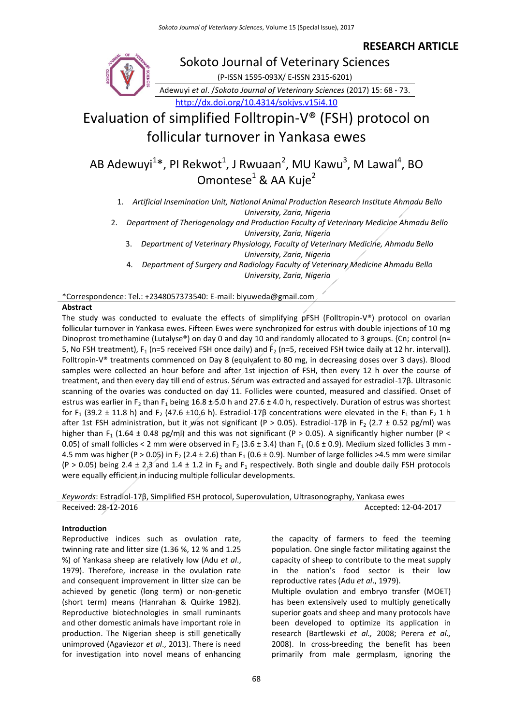# **RESEARCH ARTICLE**



<http://dx.doi.org/10.4314/sokjvs.v15i4.10>

Evaluation of simplified Folltropin-V® (FSH) protocol on follicular turnover in Yankasa ewes

AB Adewuyi<sup>1\*</sup>, PI Rekwot<sup>1</sup>, J Rwuaan<sup>2</sup>, MU Kawu<sup>3</sup>, M Lawal<sup>4</sup>, BO Omontese $1$  & AA Kuje $2$ 

1. *Artificial Insemination Unit, National Animal Production Research Institute Ahmadu Bello University, Zaria, Nigeria*

2. *Department of Theriogenology and Production Faculty of Veterinary Medicine Ahmadu Bello University, Zaria, Nigeria*

3. *Department of Veterinary Physiology, Faculty of Veterinary Medicine, Ahmadu Bello University, Zaria, Nigeria*

4. *Department of Surgery and Radiology Faculty of Veterinary Medicine Ahmadu Bello University, Zaria, Nigeria*

\*Correspondence: Tel.: +2348057373540: E-mail: biyuweda@gmail.com

### **Abstract**

The study was conducted to evaluate the effects of simplifying pFSH (Folltropin-V®) protocol on ovarian follicular turnover in Yankasa ewes. Fifteen Ewes were synchronized for estrus with double injections of 10 mg Dinoprost tromethamine (Lutalyse®) on day 0 and day 10 and randomly allocated to 3 groups. {Cn; control (n= 5, No FSH treatment),  $F_1$  (n=5 received FSH once daily) and  $F_2$  (n=5, received FSH twice daily at 12 hr. interval)}. Folltropin-V® treatments commenced on Day 8 (equivalent to 80 mg, in decreasing doses over 3 days). Blood samples were collected an hour before and after 1st injection of FSH, then every 12 h over the course of treatment, and then every day till end of estrus. Serum was extracted and assayed for estradiol-17β. Ultrasonic scanning of the ovaries was conducted on day 11. Follicles were counted, measured and classified. Onset of estrus was earlier in F<sub>2</sub> than F<sub>1</sub> being 16.8  $\pm$  5.0 h and 27.6  $\pm$  4.0 h, respectively. Duration of estrus was shortest for F<sub>1</sub> (39.2 ± 11.8 h) and F<sub>2</sub> (47.6 ±10.6 h). Estradiol-17 $\beta$  concentrations were elevated in the F<sub>1</sub> than F<sub>2</sub> 1 h after 1st FSH administration, but it was not significant (P > 0.05). Estradiol-17 $\beta$  in F<sub>2</sub> (2.7 ± 0.52 pg/ml) was higher than F<sub>1</sub> (1.64 ± 0.48 pg/ml) and this was not significant (P > 0.05). A significantly higher number (P < 0.05) of small follicles < 2 mm were observed in F<sub>2</sub> (3.6  $\pm$  3.4) than F<sub>1</sub> (0.6  $\pm$  0.9). Medium sized follicles 3 mm -4.5 mm was higher (P > 0.05) in F<sub>2</sub> (2.4 ± 2.6) than F<sub>1</sub> (0.6 ± 0.9). Number of large follicles >4.5 mm were similar (P > 0.05) being 2.4 ± 2,3 and 1.4 ± 1.2 in  $F_2$  and  $F_1$  respectively. Both single and double daily FSH protocols were equally efficient in inducing multiple follicular developments.

*Keywords*: Estradiol-17β, Simplified FSH protocol, Superovulation, Ultrasonography, Yankasa ewes Received: 28-12-2016 **Accepted: 12-04-2017** 

#### **Introduction**

Reproductive indices such as ovulation rate, twinning rate and litter size (1.36 %, 12 % and 1.25 %) of Yankasa sheep are relatively low (Adu *et al*., 1979). Therefore, increase in the ovulation rate and consequent improvement in litter size can be achieved by genetic (long term) or non-genetic (short term) means (Hanrahan & Quirke 1982). Reproductive biotechnologies in small ruminants and other domestic animals have important role in production. The Nigerian sheep is still genetically unimproved (Agaviezor *et al*., 2013). There is need for investigation into novel means of enhancing the capacity of farmers to feed the teeming population. One single factor militating against the capacity of sheep to contribute to the meat supply in the nation's food sector is their low reproductive rates (Adu *et al*., 1979).

Multiple ovulation and embryo transfer (MOET) has been extensively used to multiply genetically superior goats and sheep and many protocols have been developed to optimize its application in research (Bartlewski *et al.,* 2008; Perera *et al.,* 2008). In cross-breeding the benefit has been primarily from male germplasm, ignoring the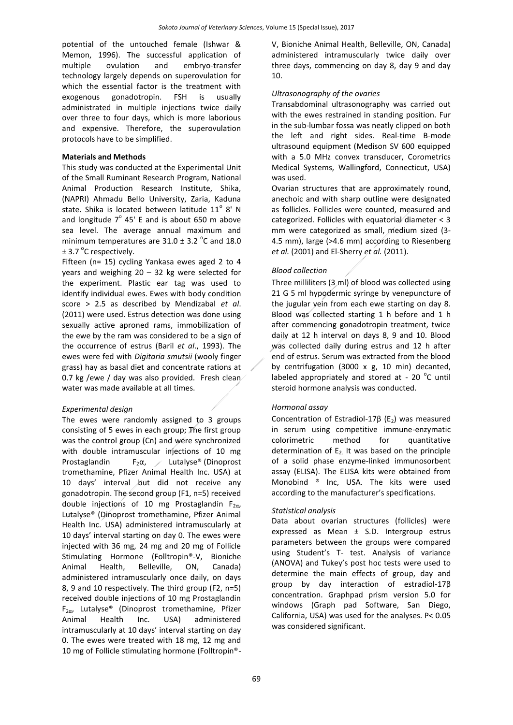potential of the untouched female (Ishwar & Memon, 1996). The successful application of multiple ovulation and embryo-transfer technology largely depends on superovulation for which the essential factor is the treatment with exogenous gonadotropin. FSH is usually administrated in multiple injections twice daily over three to four days, which is more laborious and expensive. Therefore, the superovulation protocols have to be simplified.

#### **Materials and Methods**

This study was conducted at the Experimental Unit of the Small Ruminant Research Program, National Animal Production Research Institute, Shika, (NAPRI) Ahmadu Bello University, Zaria, Kaduna state. Shika is located between latitude  $11^{\circ}$  8' N and longitude  $7^{\circ}$  45' E and is about 650 m above sea level. The average annual maximum and minimum temperatures are  $31.0 \pm 3.2$  °C and 18.0  $\pm$  3.7 °C respectively.

Fifteen (n= 15) cycling Yankasa ewes aged 2 to 4 years and weighing 20 – 32 kg were selected for the experiment. Plastic ear tag was used to identify individual ewes. Ewes with body condition score > 2.5 as described by Mendizabal *et al*. (2011) were used. Estrus detection was done using sexually active aproned rams, immobilization of the ewe by the ram was considered to be a sign of the occurrence of estrus (Baril *et al*., 1993). The ewes were fed with *Digitaria smutsii* (wooly finger grass) hay as basal diet and concentrate rations at 0.7 kg /ewe / day was also provided. Fresh clean water was made available at all times.

#### *Experimental design*

The ewes were randomly assigned to 3 groups consisting of 5 ewes in each group; The first group was the control group (Cn) and were synchronized with double intramuscular injections of 10 mg Prostaglandin F<sub>2</sub> $\alpha$ , Lutalyse<sup>®</sup> (Dinoprost tromethamine, Pfizer Animal Health Inc. USA) at 10 days' interval but did not receive any gonadotropin. The second group (F1, n=5) received double injections of 10 mg Prostaglandin  $F_{2\alpha}$ , Lutalyse® (Dinoprost tromethamine, Pfizer Animal Health Inc. USA) administered intramuscularly at 10 days' interval starting on day 0. The ewes were injected with 36 mg, 24 mg and 20 mg of Follicle Stimulating Hormone (Folltropin®-V, Bioniche Animal Health, Belleville, ON, Canada) administered intramuscularly once daily, on days 8, 9 and 10 respectively. The third group (F2, n=5) received double injections of 10 mg Prostaglandin F2α, Lutalyse® (Dinoprost tromethamine, Pfizer Animal Health Inc. USA) administered intramuscularly at 10 days' interval starting on day 0. The ewes were treated with 18 mg, 12 mg and 10 mg of Follicle stimulating hormone (Folltropin®-

V, Bioniche Animal Health, Belleville, ON, Canada) administered intramuscularly twice daily over three days, commencing on day 8, day 9 and day 10.

#### *Ultrasonography of the ovaries*

Transabdominal ultrasonography was carried out with the ewes restrained in standing position. Fur in the sub-lumbar fossa was neatly clipped on both the left and right sides. Real-time B-mode ultrasound equipment (Medison SV 600 equipped with a 5.0 MHz convex transducer, Corometrics Medical Systems, Wallingford, Connecticut, USA) was used.

Ovarian structures that are approximately round, anechoic and with sharp outline were designated as follicles. Follicles were counted, measured and categorized. Follicles with equatorial diameter < 3 mm were categorized as small, medium sized (3- 4.5 mm), large (>4.6 mm) according to Riesenberg *et al.* (2001) and El-Sherry *et al.* (2011).

#### *Blood collection*

Three milliliters (3 ml) of blood was collected using 21 G 5 ml hypodermic syringe by venepuncture of the jugular vein from each ewe starting on day 8. Blood was collected starting 1 h before and 1 h after commencing gonadotropin treatment, twice daily at 12 h interval on days 8, 9 and 10. Blood was collected daily during estrus and 12 h after end of estrus. Serum was extracted from the blood by centrifugation (3000  $x$  g, 10 min) decanted, labeled appropriately and stored at - 20 $\degree$ C until steroid hormone analysis was conducted.

#### *Hormonal assay*

Concentration of Estradiol-17 $\beta$  (E<sub>2</sub>) was measured in serum using competitive immune-enzymatic colorimetric method for quantitative determination of  $E<sub>2</sub>$  It was based on the principle of a solid phase enzyme-linked immunosorbent assay (ELISA). The ELISA kits were obtained from Monobind ® Inc, USA. The kits were used according to the manufacturer's specifications.

#### *Statistical analysis*

Data about ovarian structures (follicles) were expressed as Mean ± S.D. Intergroup estrus parameters between the groups were compared using Student's T- test. Analysis of variance (ANOVA) and Tukey's post hoc tests were used to determine the main effects of group, day and group by day interaction of estradiol-17β concentration. Graphpad prism version 5.0 for windows (Graph pad Software, San Diego, California, USA) was used for the analyses. P< 0.05 was considered significant.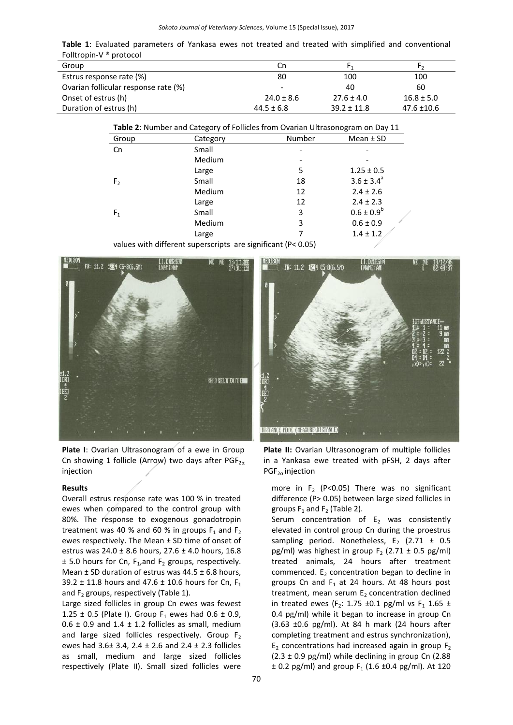**Table 1**: Evaluated parameters of Yankasa ewes not treated and treated with simplified and conventional Folltropin-V ® protocol

| .<br>.                               |                |                 |                 |
|--------------------------------------|----------------|-----------------|-----------------|
| Group                                | Cn             |                 |                 |
| Estrus response rate (%)             | 80             | 100             | 100             |
| Ovarian follicular response rate (%) | -              | 40              | 60              |
| Onset of estrus (h)                  | $24.0 \pm 8.6$ | $27.6 \pm 4.0$  | $16.8 \pm 5.0$  |
| Duration of estrus (h)               | $44.5 \pm 6.8$ | $39.2 \pm 11.8$ | $47.6 \pm 10.6$ |

| Table 2: Number and Category of Follicles from Ovarian Ultrasonogram on Day 11 |          |        |                 |  |
|--------------------------------------------------------------------------------|----------|--------|-----------------|--|
| Group                                                                          | Category | Number | Mean $±$ SD     |  |
| Cn                                                                             | Small    |        |                 |  |
|                                                                                | Medium   |        |                 |  |
|                                                                                | Large    | 5      | $1.25 \pm 0.5$  |  |
| F <sub>2</sub>                                                                 | Small    | 18     | $3.6 \pm 3.4^a$ |  |
|                                                                                | Medium   | 12     | $2.4 \pm 2.6$   |  |
|                                                                                | Large    | 12     | $2.4 \pm 2.3$   |  |
| F <sub>1</sub>                                                                 | Small    | 3      | $0.6 \pm 0.9^b$ |  |
|                                                                                | Medium   | 3      | $0.6 \pm 0.9$   |  |
|                                                                                | Large    |        | $1.4 \pm 1.2$   |  |

values with different superscripts are significant (P< 0.05)



**Plate I**: Ovarian Ultrasonogram of a ewe in Group Cn showing 1 follicle (Arrow) two days after  $PGF_{2\alpha}$ injection

#### **Results**

Overall estrus response rate was 100 % in treated ewes when compared to the control group with 80%. The response to exogenous gonadotropin treatment was 40 % and 60 % in groups  $F_1$  and  $F_2$ ewes respectively. The Mean ± SD time of onset of estrus was 24.0 ± 8.6 hours, 27.6 ± 4.0 hours, 16.8  $\pm$  5.0 hours for Cn, F<sub>1</sub>, and F<sub>2</sub> groups, respectively. Mean  $\pm$  SD duration of estrus was 44.5  $\pm$  6.8 hours, 39.2  $\pm$  11.8 hours and 47.6  $\pm$  10.6 hours for Cn, F<sub>1</sub> and  $F_2$  groups, respectively (Table 1).

Large sized follicles in group Cn ewes was fewest 1.25  $\pm$  0.5 (Plate I). Group F<sub>1</sub> ewes had 0.6  $\pm$  0.9,  $0.6 \pm 0.9$  and  $1.4 \pm 1.2$  follicles as small, medium and large sized follicles respectively. Group  $F_2$ ewes had 3.6± 3.4, 2.4 ± 2.6 and 2.4 ± 2.3 follicles as small, medium and large sized follicles respectively (Plate II). Small sized follicles were



**Plate II:** Ovarian Ultrasonogram of multiple follicles in a Yankasa ewe treated with pFSH, 2 days after  $PGF_{2\alpha}$  injection

more in  $F_2$  (P<0.05) There was no significant difference (P> 0.05) between large sized follicles in groups  $F_1$  and  $F_2$  (Table 2).

Serum concentration of  $E_2$  was consistently elevated in control group Cn during the proestrus sampling period. Nonetheless,  $E_2$  (2.71  $\pm$  0.5 pg/ml) was highest in group  $F_2$  (2.71  $\pm$  0.5 pg/ml) treated animals, 24 hours after treatment commenced.  $E<sub>2</sub>$  concentration began to decline in groups Cn and  $F_1$  at 24 hours. At 48 hours post treatment, mean serum  $E_2$  concentration declined in treated ewes (F<sub>2</sub>: 1.75 ±0.1 pg/ml vs F<sub>1</sub> 1.65 ± 0.4 pg/ml) while it began to increase in group Cn (3.63 ±0.6 pg/ml). At 84 h mark (24 hours after completing treatment and estrus synchronization),  $E<sub>2</sub>$  concentrations had increased again in group  $F<sub>2</sub>$  $(2.3 \pm 0.9 \text{ pg/ml})$  while declining in group Cn (2.88)  $\pm$  0.2 pg/ml) and group F<sub>1</sub> (1.6  $\pm$ 0.4 pg/ml). At 120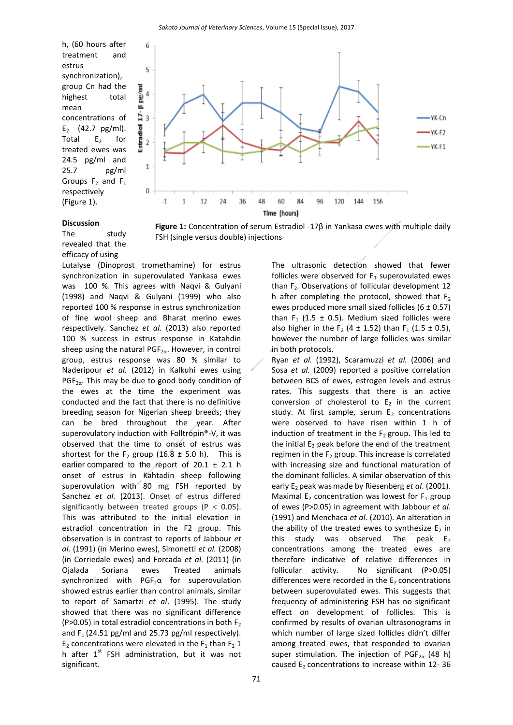FSH (single versus double) injections

h, (60 hours after treatment and estrus synchronization), group Cn had the highest total mean concentrations of  $E_2$  (42.7 pg/ml). Total  $E_2$  for treated ewes was 24.5 pg/ml and 25.7 pg/ml Groups  $F_2$  and  $F_1$ respectively (Figure 1).



# **Discussion**

The study revealed that the efficacy of using

Lutalyse (Dinoprost tromethamine) for estrus synchronization in superovulated Yankasa ewes was 100 %. This agrees with Naqvi & Gulyani (1998) and Naqvi & Gulyani (1999) who also reported 100 % response in estrus synchronization of fine wool sheep and Bharat merino ewes respectively. Sanchez *et al.* (2013) also reported 100 % success in estrus response in Katahdin sheep using the natural PGF<sub>2 $\alpha$ </sub>. However, in control group, estrus response was 80 % similar to Naderipour *et al.* (2012) in Kalkuhi ewes using PGF<sub>2 $\alpha$ </sub>. This may be due to good body condition of the ewes at the time the experiment was conducted and the fact that there is no definitive breeding season for Nigerian sheep breeds; they can be bred throughout the year. After superovulatory induction with Folltropin®-V, it was observed that the time to onset of estrus was shortest for the  $F_2$  group (16.8  $\pm$  5.0 h). This is earlier compared to the report of 20.1  $\pm$  2.1 h onset of estrus in Kahtadin sheep following superovulation with 80 mg FSH reported by Sanchez *et al.* (2013). Onset of estrus differed significantly between treated groups ( $P < 0.05$ ). This was attributed to the initial elevation in estradiol concentration in the F2 group. This observation is in contrast to reports of Jabbour *et al.* (1991) (in Merino ewes), Simonetti *et al.* (2008) (in Corriedale ewes) and Forcada *et al.* (2011) (in Ojalada Soriana ewes. Treated animals synchronized with  $PGF_2\alpha$  for superovulation showed estrus earlier than control animals, similar to report of Samartzi *et al*. (1995). The study showed that there was no significant difference (P>0.05) in total estradiol concentrations in both  $F_2$ and  $F_1$  (24.51 pg/ml and 25.73 pg/ml respectively).  $E_2$  concentrations were elevated in the  $F_1$  than  $F_2$  1 h after  $1<sup>st</sup>$  FSH administration, but it was not significant.

The ultrasonic detection showed that fewer follicles were observed for  $F_1$  superovulated ewes than  $F_2$ . Observations of follicular development 12 h after completing the protocol, showed that  $F_2$ ewes produced more small sized follicles  $(6 \pm 0.57)$ than F<sub>1</sub> (1.5  $\pm$  0.5). Medium sized follicles were also higher in the F<sub>2</sub> (4  $\pm$  1.52) than F<sub>1</sub> (1.5  $\pm$  0.5), however the number of large follicles was similar in both protocols.

Ryan *et al.* (1992), Scaramuzzi *et al.* (2006) and Sosa *et al.* (2009) reported a positive correlation between BCS of ewes, estrogen levels and estrus rates. This suggests that there is an active conversion of cholesterol to  $E_2$  in the current study. At first sample, serum  $E_2$  concentrations were observed to have risen within 1 h of induction of treatment in the  $F_2$  group. This led to the initial  $E_2$  peak before the end of the treatment regimen in the  $F_2$  group. This increase is correlated with increasing size and functional maturation of the dominant follicles. A similar observation of this early E<sub>2</sub> peak was made by Riesenberg *et al.* (2001). Maximal E<sub>2</sub> concentration was lowest for  $F_1$  group of ewes (P>0.05) in agreement with Jabbour *et al*. (1991) and Menchaca *et al*. (2010). An alteration in the ability of the treated ewes to synthesize  $E_2$  in this study was observed. The peak  $E_2$ concentrations among the treated ewes are therefore indicative of relative differences in follicular activity. No significant (P>0.05) differences were recorded in the  $E_2$  concentrations between superovulated ewes. This suggests that frequency of administering FSH has no significant effect on development of follicles. This is confirmed by results of ovarian ultrasonograms in which number of large sized follicles didn't differ among treated ewes, that responded to ovarian super stimulation. The injection of PGF<sub>2a</sub> (48 h) caused  $E_2$  concentrations to increase within 12-36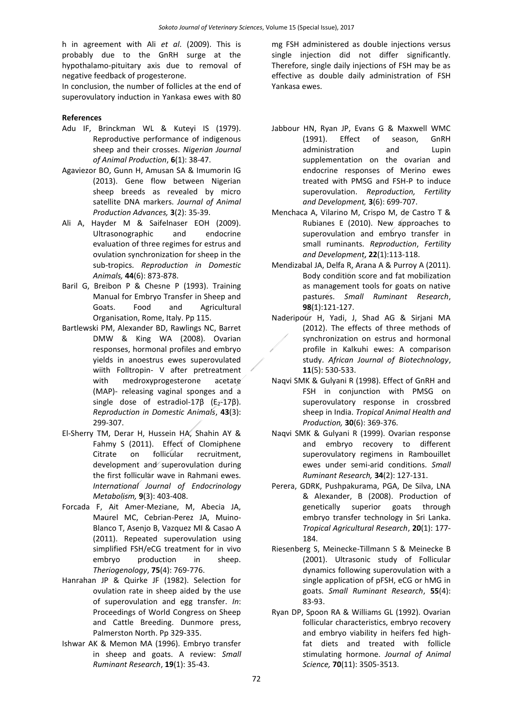h in agreement with Ali *et al*. (2009). This is probably due to the GnRH surge at the hypothalamo-pituitary axis due to removal of negative feedback of progesterone.

In conclusion, the number of follicles at the end of superovulatory induction in Yankasa ewes with 80

## **References**

- Adu IF, Brinckman WL & Kuteyi IS (1979). Reproductive performance of indigenous sheep and their crosses. *Nigerian Journal of Animal Production*, **6**(1): 38-47.
- Agaviezor BO, Gunn H, Amusan SA & Imumorin IG (2013). Gene flow between Nigerian sheep breeds as revealed by micro satellite DNA markers. *Journal of Animal Production Advances,* **3**(2): 35-39.
- Ali A, Hayder M & Saifelnaser EOH (2009). Ultrasonographic and endocrine evaluation of three regimes for estrus and ovulation synchronization for sheep in the sub-tropics. *Reproduction in Domestic Animals,* **44**(6): 873-878.
- Baril G, Breibon P & Chesne P (1993). Training Manual for Embryo Transfer in Sheep and Goats. Food and Agricultural Organisation, Rome, Italy. Pp 115.
- Bartlewski PM, Alexander BD, Rawlings NC, Barret DMW & King WA (2008). Ovarian responses, hormonal profiles and embryo yields in anoestrus ewes superovulated wiith Folltropin- V after pretreatment with medroxyprogesterone acetate (MAP)- releasing vaginal sponges and a single dose of estradiol-17 $\beta$  ( $E_2$ -17 $\beta$ ). *Reproduction in Domestic Animals*, **43**(3): 299-307.
- El-Sherry TM, Derar H, Hussein HA, Shahin AY & Fahmy S (2011). Effect of Clomiphene Citrate on follicular recruitment, development and superovulation during the first follicular wave in Rahmani ewes. *International Journal of Endocrinology Metabolism,* **9**(3): 403-408.
- Forcada F, Ait Amer-Meziane, M, Abecia JA, Maurel MC, Cebrian-Perez JA, Muino-Blanco T, Asenjo B, Vazquez MI & Casao A (2011). Repeated superovulation using simplified FSH/eCG treatment for in vivo embryo production in sheep. *Theriogenology*, **75**(4): 769-776.
- Hanrahan JP & Quirke JF (1982). Selection for ovulation rate in sheep aided by the use of superovulation and egg transfer. *In*: Proceedings of World Congress on Sheep and Cattle Breeding. Dunmore press, Palmerston North. Pp 329-335.
- Ishwar AK & Memon MA (1996). Embryo transfer in sheep and goats. A review: *Small Ruminant Research*, **19**(1): 35-43.

mg FSH administered as double injections versus single injection did not differ significantly. Therefore, single daily injections of FSH may be as effective as double daily administration of FSH Yankasa ewes.

- Jabbour HN, Ryan JP, Evans G & Maxwell WMC (1991). Effect of season, GnRH administration and Lupin supplementation on the ovarian and endocrine responses of Merino ewes treated with PMSG and FSH-P to induce superovulation. *Reproduction, Fertility and Development,* **3**(6): 699-707.
- Menchaca A, Vilarino M, Crispo M, de Castro T & Rubianes E (2010). New approaches to superovulation and embryo transfer in small ruminants. *Reproduction*, *Fertility and Development*, **22**(1):113-118.
- Mendizabal JA, Delfa R, Arana A & Purroy A (2011). Body condition score and fat mobilization as management tools for goats on native pastures. *Small Ruminant Research*, **98**(1):121-127.
- Naderipour H, Yadi, J, Shad AG & Sirjani MA (2012). The effects of three methods of synchronization on estrus and hormonal profile in Kalkuhi ewes: A comparison study. *African Journal of Biotechnology*, **11**(5): 530-533.
- Naqvi SMK & Gulyani R (1998). Effect of GnRH and FSH in conjunction with PMSG on superovulatory response in crossbred sheep in India. *Tropical Animal Health and Production,* **30**(6): 369-376.
- Naqvi SMK & Gulyani R (1999). Ovarian response and embryo recovery to different superovulatory regimens in Rambouillet ewes under semi-arid conditions. *Small Ruminant Research,* **34**(2): 127-131.
- Perera, GDRK, Pushpakurama, PGA, De Silva, LNA & Alexander, B (2008). Production of genetically superior goats through embryo transfer technology in Sri Lanka. *Tropical Agricultural Research*, **20**(1): 177- 184.
- Riesenberg S, Meinecke-Tillmann S & Meinecke B (2001). Ultrasonic study of Follicular dynamics following superovulation with a single application of pFSH, eCG or hMG in goats. *Small Ruminant Research*, **55**(4): 83-93.
- Ryan DP, Spoon RA & Williams GL (1992). Ovarian follicular characteristics, embryo recovery and embryo viability in heifers fed highfat diets and treated with follicle stimulating hormone. *Journal of Animal Science,* **70**(11): 3505-3513.